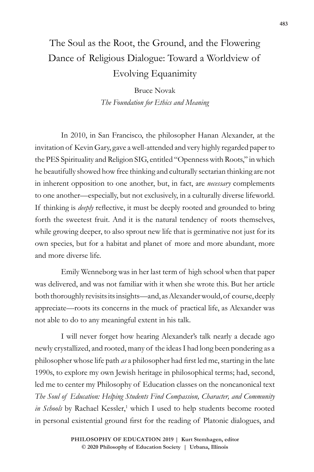## The Soul as the Root, the Ground, and the Flowering Dance of Religious Dialogue: Toward a Worldview of Evolving Equanimity

Bruce Novak *The Foundation for Ethics and Meaning*

In 2010, in San Francisco, the philosopher Hanan Alexander, at the invitation of Kevin Gary, gave a well-attended and very highly regarded paper to the PES Spirituality and Religion SIG, entitled "Openness with Roots," in which he beautifully showed how free thinking and culturally sectarian thinking are not in inherent opposition to one another, but, in fact, are *necessary* complements to one another—especially, but not exclusively, in a culturally diverse lifeworld. If thinking is *deeply* reflective, it must be deeply rooted and grounded to bring forth the sweetest fruit. And it is the natural tendency of roots themselves, while growing deeper, to also sprout new life that is germinative not just for its own species, but for a habitat and planet of more and more abundant, more and more diverse life.

Emily Wenneborg was in her last term of high school when that paper was delivered, and was not familiar with it when she wrote this. But her article both thoroughly revisits its insights—and, as Alexander would, of course, deeply appreciate—roots its concerns in the muck of practical life, as Alexander was not able to do to any meaningful extent in his talk.

I will never forget how hearing Alexander's talk nearly a decade ago newly crystallized, and rooted, many of the ideas I had long been pondering as a philosopher whose life path *as* a philosopher had first led me, starting in the late 1990s, to explore my own Jewish heritage in philosophical terms; had, second, led me to center my Philosophy of Education classes on the noncanonical text *The Soul of Education: Helping Students Find Compassion, Character, and Community*  in Schools by Rachael Kessler,<sup>1</sup> which I used to help students become rooted in personal existential ground first for the reading of Platonic dialogues, and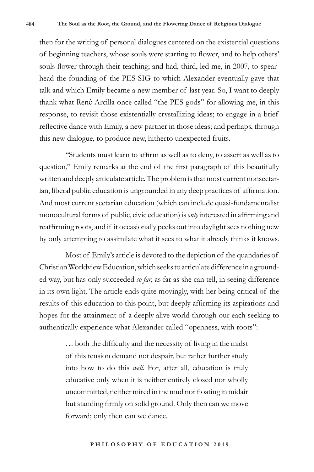then for the writing of personal dialogues centered on the existential questions of beginning teachers, whose souls were starting to flower, and to help others' souls flower through their teaching; and had, third, led me, in 2007, to spearhead the founding of the PES SIG to which Alexander eventually gave that talk and which Emily became a new member of last year. So, I want to deeply thank what René Arcilla once called "the PES gods" for allowing me, in this response, to revisit those existentially crystallizing ideas; to engage in a brief reflective dance with Emily, a new partner in those ideas; and perhaps, through this new dialogue, to produce new, hitherto unexpected fruits.

"Students must learn to affirm as well as to deny, to assert as well as to question," Emily remarks at the end of the first paragraph of this beautifully written and deeply articulate article. The problem is that most current nonsectarian, liberal public education is ungrounded in any deep practices of affirmation. And most current sectarian education (which can include quasi-fundamentalist monocultural forms of public, civic education) is *only* interested in affirming and reaffirming roots, and if it occasionally peeks out into daylight sees nothing new by only attempting to assimilate what it sees to what it already thinks it knows.

Most of Emily's article is devoted to the depiction of the quandaries of Christian Worldview Education, which seeks to articulate difference in a grounded way, but has only succeeded *so far*, as far as she can tell, in seeing difference in its own light. The article ends quite movingly, with her being critical of the results of this education to this point, but deeply affirming its aspirations and hopes for the attainment of a deeply alive world through our each seeking to authentically experience what Alexander called "openness, with roots":

> … both the difficulty and the necessity of living in the midst of this tension demand not despair, but rather further study into how to do this *well*. For, after all, education is truly educative only when it is neither entirely closed nor wholly uncommitted, neither mired in the mud nor floating in midair but standing firmly on solid ground. Only then can we move forward; only then can we dance.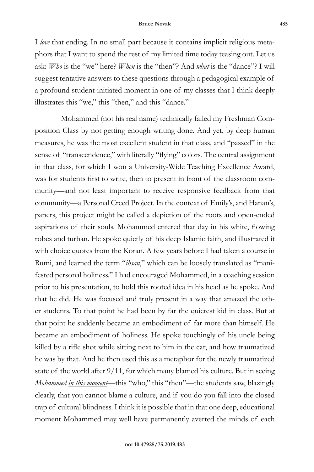I *love* that ending. In no small part because it contains implicit religious metaphors that I want to spend the rest of my limited time today teasing out. Let us ask: *Who* is the "we" here? *When* is the "then"? And *what* is the "dance"? I will suggest tentative answers to these questions through a pedagogical example of a profound student-initiated moment in one of my classes that I think deeply illustrates this "we," this "then," and this "dance."

Mohammed (not his real name) technically failed my Freshman Composition Class by not getting enough writing done. And yet, by deep human measures, he was the most excellent student in that class, and "passed" in the sense of "transcendence," with literally "flying" colors. The central assignment in that class, for which I won a University-Wide Teaching Excellence Award, was for students first to write, then to present in front of the classroom community—and not least important to receive responsive feedback from that community—a Personal Creed Project. In the context of Emily's, and Hanan's, papers, this project might be called a depiction of the roots and open-ended aspirations of their souls. Mohammed entered that day in his white, flowing robes and turban. He spoke quietly of his deep Islamic faith, and illustrated it with choice quotes from the Koran. A few years before I had taken a course in Rumi, and learned the term "*ihsan*," which can be loosely translated as "manifested personal holiness." I had encouraged Mohammed, in a coaching session prior to his presentation, to hold this rooted idea in his head as he spoke. And that he did. He was focused and truly present in a way that amazed the other students. To that point he had been by far the quietest kid in class. But at that point he suddenly became an embodiment of far more than himself. He became an embodiment of holiness. He spoke touchingly of his uncle being killed by a rifle shot while sitting next to him in the car, and how traumatized he was by that. And he then used this as a metaphor for the newly traumatized state of the world after 9/11, for which many blamed his culture. But in seeing *Mohammed in this moment*—this "who," this "then"—the students saw, blazingly clearly, that you cannot blame a culture, and if you do you fall into the closed trap of cultural blindness. I think it is possible that in that one deep, educational moment Mohammed may well have permanently averted the minds of each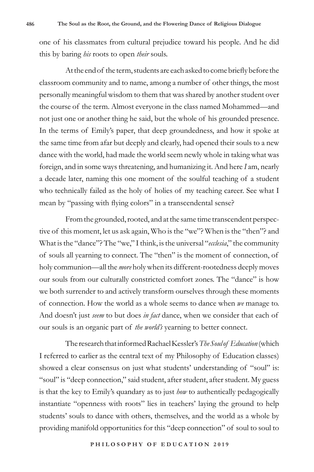one of his classmates from cultural prejudice toward his people. And he did this by baring *his* roots to open *their* souls.

At the end of the term, students are each asked to come briefly before the classroom community and to name, among a number of other things, the most personally meaningful wisdom to them that was shared by another student over the course of the term. Almost everyone in the class named Mohammed—and not just one or another thing he said, but the whole of his grounded presence. In the terms of Emily's paper, that deep groundedness, and how it spoke at the same time from afar but deeply and clearly, had opened their souls to a new dance with the world, had made the world seem newly whole in taking what was foreign, and in some ways threatening, and humanizing it. And here *I* am, nearly a decade later, naming this one moment of the soulful teaching of a student who technically failed as the holy of holies of my teaching career. See what I mean by "passing with flying colors" in a transcendental sense?

From the grounded, rooted, and at the same time transcendent perspective of this moment, let us ask again, Who is the "we"? When is the "then"? and What is the "dance"? The "we," I think, is the universal "*ecclesia*," the community of souls all yearning to connect. The "then" is the moment of connection, of holy communion—all the *more* holy when its different-rootedness deeply moves our souls from our culturally constricted comfort zones. The "dance" is how we both surrender to and actively transform ourselves through these moments of connection. How the world as a whole seems to dance when *we* manage to. And doesn't just *seem* to but does *in fact* dance, when we consider that each of our souls is an organic part of *the world's* yearning to better connect.

The research that informed Rachael Kessler's *The Soul of Education* (which I referred to earlier as the central text of my Philosophy of Education classes) showed a clear consensus on just what students' understanding of "soul" is: "soul" is "deep connection," said student, after student, after student. My guess is that the key to Emily's quandary as to just *how* to authentically pedagogically instantiate "openness with roots" lies in teachers' laying the ground to help students' souls to dance with others, themselves, and the world as a whole by providing manifold opportunities for this "deep connection" of soul to soul to